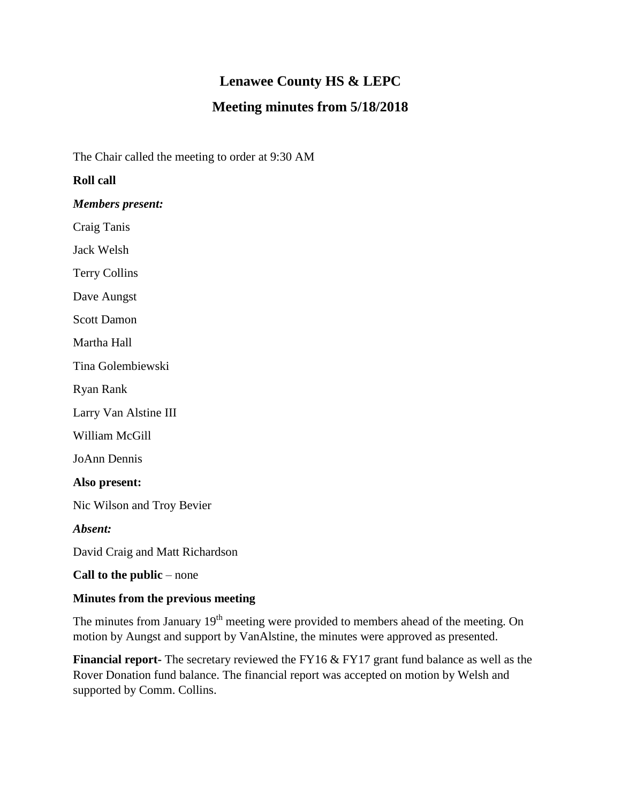# **Lenawee County HS & LEPC**

# **Meeting minutes from 5/18/2018**

The Chair called the meeting to order at 9:30 AM

# **Roll call**

*Members present:*

Craig Tanis

Jack Welsh

Terry Collins

Dave Aungst

Scott Damon

Martha Hall

Tina Golembiewski

Ryan Rank

Larry Van Alstine III

William McGill

JoAnn Dennis

**Also present:**

Nic Wilson and Troy Bevier

*Absent:*

David Craig and Matt Richardson

**Call to the public** – none

#### **Minutes from the previous meeting**

The minutes from January 19<sup>th</sup> meeting were provided to members ahead of the meeting. On motion by Aungst and support by VanAlstine, the minutes were approved as presented.

**Financial report-** The secretary reviewed the FY16 & FY17 grant fund balance as well as the Rover Donation fund balance. The financial report was accepted on motion by Welsh and supported by Comm. Collins.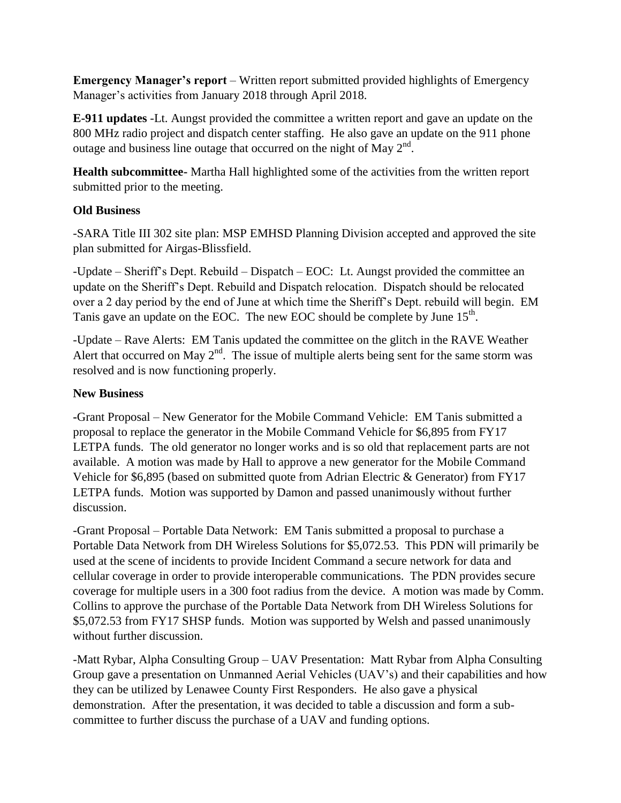**Emergency Manager's report** – Written report submitted provided highlights of Emergency Manager's activities from January 2018 through April 2018.

**E-911 updates** -Lt. Aungst provided the committee a written report and gave an update on the 800 MHz radio project and dispatch center staffing. He also gave an update on the 911 phone outage and business line outage that occurred on the night of May  $2<sup>nd</sup>$ .

**Health subcommittee-** Martha Hall highlighted some of the activities from the written report submitted prior to the meeting.

#### **Old Business**

-SARA Title III 302 site plan: MSP EMHSD Planning Division accepted and approved the site plan submitted for Airgas-Blissfield.

-Update – Sheriff's Dept. Rebuild – Dispatch – EOC: Lt. Aungst provided the committee an update on the Sheriff's Dept. Rebuild and Dispatch relocation. Dispatch should be relocated over a 2 day period by the end of June at which time the Sheriff's Dept. rebuild will begin. EM Tanis gave an update on the EOC. The new EOC should be complete by June  $15<sup>th</sup>$ .

-Update – Rave Alerts: EM Tanis updated the committee on the glitch in the RAVE Weather Alert that occurred on May  $2<sup>nd</sup>$ . The issue of multiple alerts being sent for the same storm was resolved and is now functioning properly.

# **New Business**

**-**Grant Proposal – New Generator for the Mobile Command Vehicle: EM Tanis submitted a proposal to replace the generator in the Mobile Command Vehicle for \$6,895 from FY17 LETPA funds. The old generator no longer works and is so old that replacement parts are not available. A motion was made by Hall to approve a new generator for the Mobile Command Vehicle for \$6,895 (based on submitted quote from Adrian Electric & Generator) from FY17 LETPA funds. Motion was supported by Damon and passed unanimously without further discussion.

-Grant Proposal – Portable Data Network: EM Tanis submitted a proposal to purchase a Portable Data Network from DH Wireless Solutions for \$5,072.53. This PDN will primarily be used at the scene of incidents to provide Incident Command a secure network for data and cellular coverage in order to provide interoperable communications. The PDN provides secure coverage for multiple users in a 300 foot radius from the device. A motion was made by Comm. Collins to approve the purchase of the Portable Data Network from DH Wireless Solutions for \$5,072.53 from FY17 SHSP funds. Motion was supported by Welsh and passed unanimously without further discussion.

-Matt Rybar, Alpha Consulting Group – UAV Presentation: Matt Rybar from Alpha Consulting Group gave a presentation on Unmanned Aerial Vehicles (UAV's) and their capabilities and how they can be utilized by Lenawee County First Responders. He also gave a physical demonstration. After the presentation, it was decided to table a discussion and form a subcommittee to further discuss the purchase of a UAV and funding options.